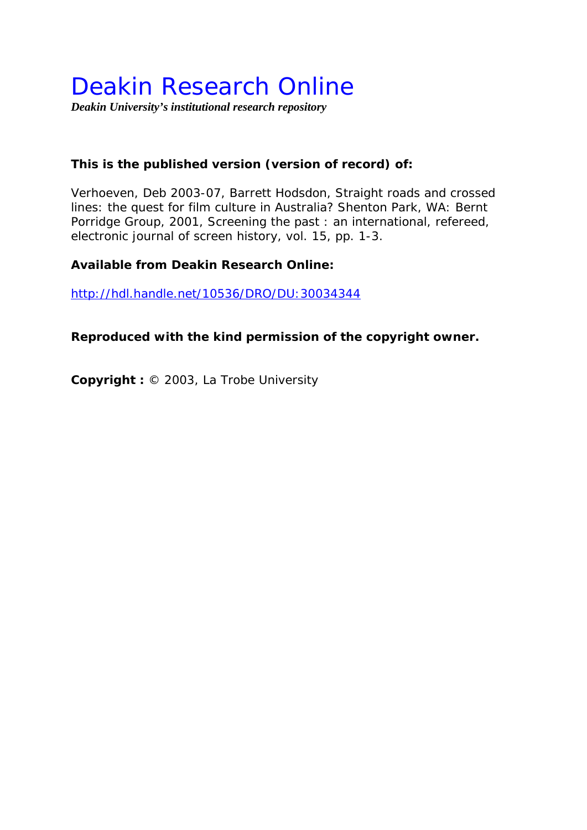# Deakin Research Online

*Deakin University's institutional research repository* 

## **This is the published version (version of record) of:**

Verhoeven, Deb 2003-07, Barrett Hodsdon, Straight roads and crossed lines: the quest for film culture in Australia? Shenton Park, WA: Bernt Porridge Group, 2001*, Screening the past : an international, refereed, electronic journal of screen history*, vol. 15, pp. 1-3.

#### **Available from Deakin Research Online:**

http://hdl.handle.net/10536/DRO/DU:30034344

### **Reproduced with the kind permission of the copyright owner.**

**Copyright :** © 2003, La Trobe University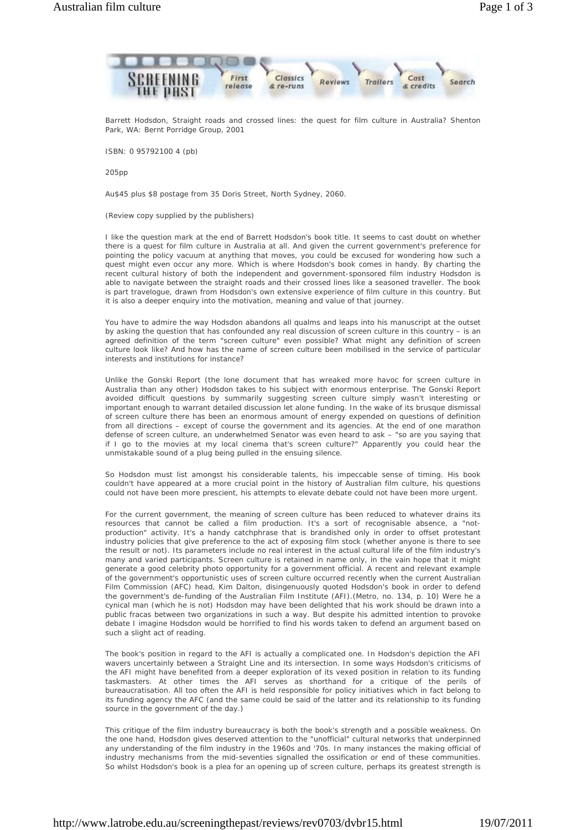

Barrett Hodsdon, *Straight roads and crossed lines: the quest for film culture in Australia?* Shenton Park, WA: Bernt Porridge Group, 2001

ISBN: 0 95792100 4 (pb)

 $205nn$ 

Au\$45 plus \$8 postage from 35 Doris Street, North Sydney, 2060.

(Review copy supplied by the publishers)

I like the question mark at the end of Barrett Hodsdon's book title. It seems to cast doubt on whether there is a quest for film culture in Australia at all. And given the current government's preference for pointing the policy vacuum at anything that moves, you could be excused for wondering how such a quest might even occur any more. Which is where Hodsdon's book comes in handy. By charting the recent cultural history of both the independent and government-sponsored film industry Hodsdon is able to navigate between the *straight roads* and their *crossed lines* like a seasoned traveller. The book is part travelogue, drawn from Hodsdon's own extensive experience of film culture in this country. But it is also a deeper enquiry into the motivation, meaning and value of that journey.

You have to admire the way Hodsdon abandons all qualms and leaps into his manuscript at the outset by asking the question that has confounded any real discussion of screen culture in this country – is an agreed definition of the term "screen culture" even possible? What might any definition of screen culture look like? And how has the name of screen culture been mobilised in the service of particular interests and institutions for instance?

Unlike the Gonski Report (the lone document that has wreaked more havoc for screen culture in Australia than any other) Hodsdon takes to his subject with enormous enterprise. The Gonski Report avoided difficult questions by summarily suggesting screen culture simply wasn't interesting or important enough to warrant detailed discussion let alone funding. In the wake of its brusque dismissal of screen culture there has been an enormous amount of energy expended on questions of definition from all directions – except of course the government and its agencies. At the end of one marathon defense of screen culture, an underwhelmed Senator was even heard to ask – "so are you saying that if I go to the movies at my local cinema *that's* screen culture?" Apparently you could hear the unmistakable sound of a plug being pulled in the ensuing silence.

So Hodsdon must list amongst his considerable talents, his impeccable sense of timing. His book couldn't have appeared at a more crucial point in the history of Australian film culture, his questions could not have been more prescient, his attempts to elevate debate could not have been more urgent.

For the current government, the meaning of screen culture has been reduced to whatever drains its resources that cannot be called a film production. It's a sort of recognisable absence, a "notproduction" activity. It's a handy catchphrase that is brandished only in order to offset protestant industry policies that give preference to the act of exposing film stock (whether anyone is there to see the result or not). Its parameters include no real interest in the actual cultural life of the film industry's many and varied participants. Screen culture is retained in name only, in the vain hope that it might generate a good celebrity photo opportunity for a government official. A recent and relevant example of the government's opportunistic uses of screen culture occurred recently when the current Australian Film Commission (AFC) head, Kim Dalton, disingenuously quoted Hodsdon's book in order to defend the government's de-funding of the Australian Film Institute (AFI).(*Metro*, no. 134, p. 10) Were he a cynical man (which he is not) Hodsdon may have been delighted that his work should be drawn into a public fracas between two organizations in such a way. But despite his admitted intention to provoke debate I imagine Hodsdon would be horrified to find his words taken to defend an argument based on such a slight act of reading.

The book's position in regard to the AFI is actually a complicated one. In Hodsdon's depiction the AFI wavers uncertainly between a Straight Line and its intersection. In some ways Hodsdon's criticisms of the AFI might have benefited from a deeper exploration of its vexed position in relation to its funding taskmasters. At other times the AFI serves as shorthand for a critique of the perils of bureaucratisation. All too often the AFI is held responsible for policy initiatives which in fact belong to its funding agency the AFC (and the same could be said of the latter and its relationship to its funding source in the government of the day.)

This critique of the film industry bureaucracy is both the book's strength and a possible weakness. On the one hand, Hodsdon gives deserved attention to the "unofficial" cultural networks that underpinned any understanding of the film industry in the 1960s and '70s. In many instances the making official of industry mechanisms from the mid-seventies signalled the ossification or end of these communities. So whilst Hodsdon's book is a plea for an opening up of screen culture, perhaps its greatest strength is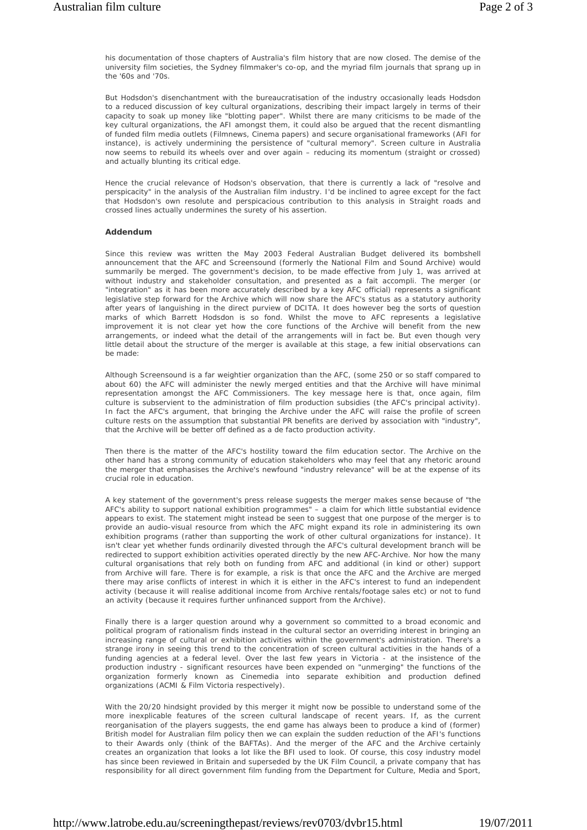his documentation of those chapters of Australia's film history that are now closed. The demise of the university film societies, the Sydney filmmaker's co-op, and the myriad film journals that sprang up in the '60s and '70s.

But Hodsdon's disenchantment with the bureaucratisation of the industry occasionally leads Hodsdon to a reduced discussion of key cultural organizations, describing their impact largely in terms of their capacity to soak up money like "blotting paper". Whilst there are many criticisms to be made of the key cultural organizations, the AFI amongst them, it could also be argued that the recent dismantling of funded film media outlets (*Filmnew*s, *Cinema papers*) and secure organisational frameworks (AFI for instance), is actively undermining the persistence of "cultural memory". Screen culture in Australia now seems to rebuild its wheels over and over again – reducing its momentum (straight or crossed) and actually blunting its critical edge.

Hence the crucial relevance of Hodson's observation, that there is currently a lack of "resolve and perspicacity" in the analysis of the Australian film industry. I'd be inclined to agree except for the fact that Hodsdon's own resolute and perspicacious contribution to this analysis in *Straight roads and crossed lines* actually undermines the surety of his assertion.

#### **Addendum**

Since this review was written the May 2003 Federal Australian Budget delivered its bombshell announcement that the AFC and Screensound (formerly the National Film and Sound Archive) would summarily be merged. The government's decision, to be made effective from July 1, was arrived at without industry and stakeholder consultation, and presented as a *fait accompli*. The merger (or "integration" as it has been more accurately described by a key AFC official) represents a significant legislative step forward for the Archive which will now share the AFC's status as a statutory authority after years of languishing in the direct purview of DCITA. It does however beg the sorts of question marks of which Barrett Hodsdon is so fond. Whilst the move to AFC represents a legislative improvement it is not clear yet how the core functions of the Archive will benefit from the new arrangements, or indeed what the detail of the arrangements will in fact be. But even though very little detail about the structure of the merger is available at this stage, a few initial observations can be made:

Although Screensound is a far weightier organization than the AFC, (some 250 or so staff compared to about 60) the AFC will administer the newly merged entities and that the Archive will have minimal representation amongst the AFC Commissioners. The key message here is that, once again, film culture is subservient to the administration of film production subsidies (the AFC's principal activity). In fact the AFC's argument, that bringing the Archive under the AFC will raise the profile of screen culture rests on the assumption that substantial PR benefits are derived by association with "industry", that the Archive will be better off defined as a *de facto* production activity.

Then there is the matter of the AFC's hostility toward the film education sector. The Archive on the other hand has a strong community of education stakeholders who may feel that any rhetoric around the merger that emphasises the Archive's newfound "industry relevance" will be at the expense of its crucial role in education.

A key statement of the government's press release suggests the merger makes sense because of "the AFC's ability to support national exhibition programmes" – a claim for which little substantial evidence appears to exist. The statement might instead be seen to suggest that one purpose of the merger is to provide an audio-visual resource from which the AFC might expand its role in administering its own exhibition programs (rather than supporting the work of other cultural organizations for instance). It isn't clear yet whether funds ordinarily divested through the AFC's cultural development branch will be redirected to support exhibition activities operated directly by the new AFC-Archive. Nor how the many cultural organisations that rely both on funding from AFC and additional (in kind or other) support from Archive will fare. There is for example, a risk is that once the AFC and the Archive are merged there may arise conflicts of interest in which it is either in the AFC's interest to fund an independent activity (because it will realise additional income from Archive rentals/footage sales etc) or not to fund an activity (because it requires further unfinanced support from the Archive).

Finally there is a larger question around why a government so committed to a broad economic and political program of rationalism finds instead in the cultural sector an overriding interest in bringing an increasing range of cultural or exhibition activities within the government's administration. There's a strange irony in seeing this trend to the concentration of screen cultural activities in the hands of a funding agencies at a federal level. Over the last few years in Victoria - at the insistence of the production industry - significant resources have been expended on "unmerging" the functions of the organization formerly known as Cinemedia into separate exhibition and production defined organizations (ACMI & Film Victoria respectively).

With the 20/20 hindsight provided by this merger it might now be possible to understand some of the more inexplicable features of the screen cultural landscape of recent years. If, as the current reorganisation of the players suggests, the end game has always been to produce a kind of (former) British model for Australian film policy then we can explain the sudden reduction of the AFI's functions to their Awards only (think of the BAFTAs). And the merger of the AFC and the Archive certainly creates an organization that looks a lot like the BFI used to look. Of course, this cosy industry model has since been reviewed in Britain and superseded by the UK Film Council, a private company that has responsibility for all direct government film funding from the Department for Culture, Media and Sport,